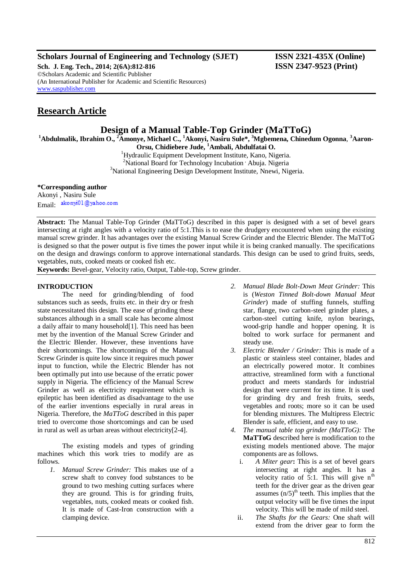### **Scholars Journal of Engineering and Technology (SJET) ISSN 2321-435X (Online)**

**Sch. J. Eng. Tech., 2014; 2(6A):812-816 ISSN 2347-9523 (Print)** ©Scholars Academic and Scientific Publisher (An International Publisher for Academic and Scientific Resources) [www.saspublisher.com](http://www.saspublisher.com/)

## **Research Article**

## **Design of a Manual Table-Top Grinder (MaTToG)**

**<sup>1</sup>Abdulmalik, Ibrahim O., <sup>2</sup>Amonye, Michael C., <sup>1</sup>Akonyi, Nasiru Sule\*, <sup>3</sup>Mgbemena, Chinedum Ogonna**, **<sup>3</sup>Aaron-**

**Orsu, Chidiebere Jude, <sup>1</sup>Ambali, Abdulfatai O.** <sup>1</sup>Hydraulic Equipment Development Institute, Kano, Nigeria.

<sup>2</sup>National Board for Technology Incubation , Abuja. Nigeria <sup>3</sup>National Engineering Design Development Institute, Nnewi, Nigeria.

#### **\*Corresponding author**

Akonyi , Nasiru Sule Email akonyi01@yahoo.com

**Abstract:** The Manual Table-Top Grinder (MaTToG) described in this paper is designed with a set of bevel gears intersecting at right angles with a velocity ratio of 5:1.This is to ease the drudgery encountered when using the existing manual screw grinder. It has advantages over the existing Manual Screw Grinder and the Electric Blender. The MaTToG is designed so that the power output is five times the power input while it is being cranked manually. The specifications on the design and drawings conform to approve international standards. This design can be used to grind fruits, seeds, vegetables, nuts, cooked meats or cooked fish etc.

**Keywords:** Bevel-gear, Velocity ratio, Output, Table-top, Screw grinder.

### **INTRODUCTION**

The need for grinding/blending of food substances such as seeds, fruits etc. in their dry or fresh state necessitated this design. The ease of grinding these substances although in a small scale has become almost a daily affair to many household[1]. This need has been met by the invention of the Manual Screw Grinder and the Electric Blender. However, these inventions have their shortcomings. The shortcomings of the Manual Screw Grinder is quite low since it requires much power input to function, while the Electric Blender has not been optimally put into use because of the erratic power supply in Nigeria*.* The efficiency of the Manual Screw Grinder as well as electricity requirement which is epileptic has been identified as disadvantage to the use of the earlier inventions especially in rural areas in Nigeria. Therefore, the *MaTToG* described in this paper tried to overcome those shortcomings and can be used in rural as well as urban areas without electricity[2-4].

The existing models and types of grinding machines which this work tries to modify are as follows.

*1. Manual Screw Grinder:* This makes use of a screw shaft to convey food substances to be ground to two meshing cutting surfaces where they are ground. This is for grinding fruits, vegetables, nuts, cooked meats or cooked fish. It is made of Cast-Iron construction with a clamping device.

- *2. Manual Blade Bolt-Down Meat Grinder:* This is (*Weston Tinned Bolt-down Manual Meat Grinder*) made of stuffing funnels, stuffing star, flange, two carbon-steel grinder plates, a carbon-steel cutting knife, nylon bearings, wood-grip handle and hopper opening. It is bolted to work surface for permanent and steady use.
- *3. Electric Blender / Grinder:* This is made of a plastic or stainless steel container, blades and an electrically powered motor. It combines attractive, streamlined form with a functional product and meets standards for industrial design that were current for its time. It is used for grinding dry and fresh fruits, seeds, vegetables and roots; more so it can be used for blending mixtures. The Multipress Electric Blender is safe, efficient, and easy to use.
- *4. The manual table top grinder (MaTToG):* The **MaTToG** described here is modification to the existing models mentioned above. The major components are as follows.
	- i. *A Miter gear***:** This is a set of bevel gears intersecting at right angles. It has a velocity ratio of 5:1. This will give  $n^{th}$ teeth for the driver gear as the driven gear assumes  $(n/5)$ <sup>th</sup> teeth. This implies that the output velocity will be five times the input velocity. This will be made of mild steel.
	- ii. *The Shafts for the Gears:* One shaft will extend from the driver gear to form the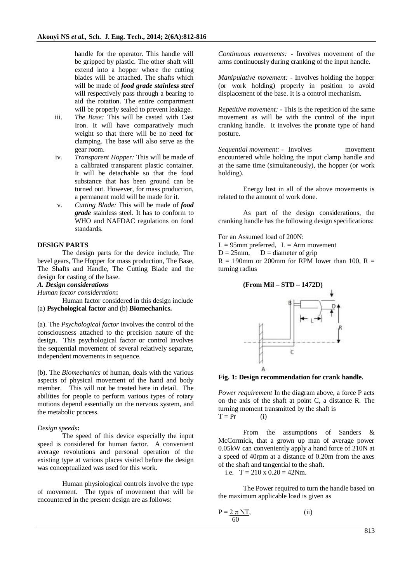handle for the operator. This handle will be gripped by plastic. The other shaft will extend into a hopper where the cutting blades will be attached. The shafts which will be made of *food grade stainless steel* will respectively pass through a bearing to aid the rotation. The entire compartment will be properly sealed to prevent leakage.

- iii. *The Base:* This will be casted with Cast Iron. It will have comparatively much weight so that there will be no need for clamping. The base will also serve as the gear room.
- iv. *Transparent Hopper:* This will be made of a calibrated transparent plastic container. It will be detachable so that the food substance that has been ground can be turned out. However, for mass production, a permanent mold will be made for it.
- v. *Cutting Blade:* This will be made of *food grade* stainless steel. It has to conform to WHO and NAFDAC regulations on food standards.

#### **DESIGN PARTS**

The design parts for the device include, The bevel gears, The Hopper for mass production, The Base, The Shafts and Handle, The Cutting Blade and the design for casting of the base.

### *A. Design considerations*

*Human factor consideration***:** 

Human factor considered in this design include (a) **Psychological factor** and (b) **Biomechanics.**

(a). The *Psychological factor* involves the control of the consciousness attached to the precision nature of the design. This psychological factor or control involves the sequential movement of several relatively separate, independent movements in sequence.

(b). The *Biomechanics* of human, deals with the various aspects of physical movement of the hand and body member. This will not be treated here in detail. The abilities for people to perform various types of rotary motions depend essentially on the nervous system, and the metabolic process.

#### *Design speeds***:**

The speed of this device especially the input speed is considered for human factor. A convenient average revolutions and personal operation of the existing type at various places visited before the design was conceptualized was used for this work.

Human physiological controls involve the type of movement. The types of movement that will be encountered in the present design are as follows:

*Continuous movements:* **-** Involves movement of the arms continuously during cranking of the input handle.

*Manipulative movement:* **-** Involves holding the hopper (or work holding) properly in position to avoid displacement of the base. It is a control mechanism.

*Repetitive movement:* **-** This is the repetition of the same movement as will be with the control of the input cranking handle. It involves the pronate type of hand posture.

*Sequential movement:* **-** Involves movement encountered while holding the input clamp handle and at the same time (simultaneously), the hopper (or work holding).

Energy lost in all of the above movements is related to the amount of work done.

As part of the design considerations, the cranking handle has the following design specifications:

For an Assumed load of 200N:

 $L = 95$ mm preferred,  $L = Arm$  movement

 $D = 25$ mm,  $D =$  diameter of grip

 $R = 190$ mm or 200mm for RPM lower than 100, R = turning radius





**Fig. 1: Design recommendation for crank handle.**

*Power requirement* In the diagram above, a force P acts on the axis of the shaft at point C, a distance R. The turning moment transmitted by the shaft is  $T = Pr$  (i)

From the assumptions of Sanders & McCormick, that a grown up man of average power 0.05kW can conveniently apply a hand force of 210N at a speed of 40rpm at a distance of 0.20m from the axes of the shaft and tangential to the shaft.

i.e.  $T = 210 \times 0.20 = 42Nm$ .

The Power required to turn the handle based on the maximum applicable load is given as

$$
P = \frac{2 \pi N T}{60},
$$
 (ii)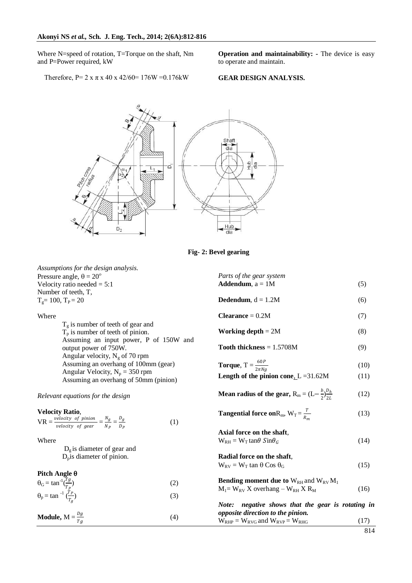Where N=speed of rotation, T=Torque on the shaft, Nm and P=Power required, kW

**Operation and maintainability: -** The device is easy to operate and maintain.

Therefore,  $P = 2 x \pi x 40 x 42/60 = 176W = 0.176kW$ 

**GEAR DESIGN ANALYSIS.**



**Fig- 2: Bevel gearing**

| Assumptions for the design analysis.                                                                                                                                                |     | Parts of the gear system                                                                            |      |
|-------------------------------------------------------------------------------------------------------------------------------------------------------------------------------------|-----|-----------------------------------------------------------------------------------------------------|------|
| Pressure angle, $\theta = 20^{\circ}$<br>Velocity ratio needed $= 5:1$                                                                                                              |     | <b>Addendum</b> , $a = 1M$                                                                          | (5)  |
| Number of teeth, T,                                                                                                                                                                 |     |                                                                                                     |      |
| $T_g = 100$ , $T_P = 20$                                                                                                                                                            |     | <b>Dedendum</b> , $d = 1.2M$                                                                        | (6)  |
| Where                                                                                                                                                                               |     | $Clearance = 0.2M$                                                                                  | (7)  |
| $T_g$ is number of teeth of gear and<br>$T_p$ is number of teeth of pinion.<br>Assuming an input power, P of 150W and<br>output power of 750W.<br>Angular velocity, $N_g$ of 70 rpm |     | <b>Working depth</b> $= 2M$                                                                         | (8)  |
|                                                                                                                                                                                     |     | Tooth thickness $= 1.5708M$                                                                         | (9)  |
| Assuming an overhang of 100mm (gear)                                                                                                                                                |     | <b>Torque,</b> $T = \frac{60P}{2\pi Na}$                                                            | (10) |
| Angular Velocity, $N_p = 350$ rpm<br>Assuming an overhang of 50mm (pinion)                                                                                                          |     | Length of the pinion cone, $L = 31.62M$                                                             | (11) |
| Relevant equations for the design                                                                                                                                                   |     | <b>Mean radius of the gear, R</b> <sub>m</sub> = $(L-\frac{b}{2})\frac{D_h}{2I}$                    | (12) |
| <b>Velocity Ratio,</b><br>$\text{VR} = \frac{\text{velocity of pinion}}{\text{velocity of gear}} = \frac{N_g}{N_P} = \frac{D_g}{D_P}$                                               | (1) | <b>Tangential force on</b> R <sub>m</sub> , $W_T = \frac{T}{R_{av}}$                                | (13) |
|                                                                                                                                                                                     |     | Axial force on the shaft,                                                                           |      |
| Where                                                                                                                                                                               |     | $W_{RH} = W_T \tan\theta \sin\theta_G$                                                              | (14) |
| $D_g$ is diameter of gear and<br>$D_p$ is diameter of pinion.                                                                                                                       |     | Radial force on the shaft,                                                                          |      |
|                                                                                                                                                                                     |     | $W_{\text{RV}} = W_{\text{T}}$ tan $\theta$ Cos $\theta_{\text{G}}$                                 | (15) |
| Pitch Angle $\theta$                                                                                                                                                                |     |                                                                                                     |      |
| $\theta_{\rm G} = \tan^{-1}(\frac{Tg}{T_P})$                                                                                                                                        | (2) | <b>Bending moment due to</b> $W_{RH}$ and $W_{RV}M_1$<br>$M_1 = W_{RV} X$ overhang – $W_{RH} X R_M$ | (16) |
| $\theta_p = \tan^{-1} \left( \frac{r_p}{r_a} \right)$                                                                                                                               | (3) |                                                                                                     |      |
|                                                                                                                                                                                     |     | Note: negative shows that the gear is rotating in                                                   |      |
| <b>Module,</b> $M = \frac{Dg}{Ta}$                                                                                                                                                  | (4) | opposite direction to the pinion.                                                                   |      |
|                                                                                                                                                                                     |     | $W_{RHP} = W_{RVG}$ and $W_{RVP} = W_{RHG}$                                                         | (17) |
|                                                                                                                                                                                     |     |                                                                                                     | 814  |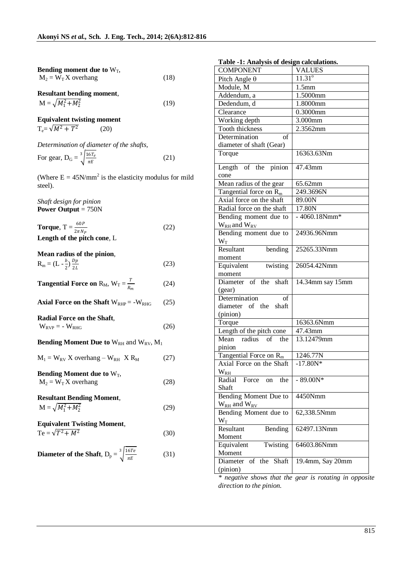| Bending moment due to $W_T$ , |      |
|-------------------------------|------|
| $M_2 = W_T X$ overhang        | (18) |

**Resultant bending moment**,  $M = \sqrt{M_1^2 + M_2^2}$ (19)

**Equivalent twisting moment**   $T_e = \sqrt{M^2 + T^2}$ (20)

|                                                 | Determination of diameter of the shafts, |      |
|-------------------------------------------------|------------------------------------------|------|
| For gear, $D_G = \sqrt[3]{\frac{16T_e}{\pi E}}$ |                                          | (21) |

(Where  $E = 45N/mm^2$  is the elasticity modulus for mild steel).

*Shaft design for pinion* **Power Output** = 750N

**Torque**,  $T = \frac{60P}{2\pi N_P}$ (22) **Length of the pitch cone**, L

#### **Mean radius of the pinion**,  $R_m = (L - \frac{b}{2})$  $rac{b}{2}$ )  $rac{Dp}{2L}$ (23)

**Tangential Force on**  $R_M$ ,  $W_T = \frac{T}{R}$  $R_m$ (24)

**Axial Force on the Shaft**  $W_{RHP} = -W_{RHG}$  (25)

**Radial Force on the Shaft**,

# $W_{RVP} = -W_{RHG}$  (26)

## **Bending Moment Due to** W<sub>RH</sub> and W<sub>RV</sub>, M<sub>1</sub>

 $M_1 = W_{RV} X$  overhang –  $W_{RH} X R_M$  (27) **Bending Moment due to**  $W_T$ ,  $M_2 = W_T X$  overhang (28)

## **Resultant Bending Moment**,  $M = \sqrt{M_1^2 + M_2^2}$

**Equivalent Twisting Moment**,  $Te = \sqrt{T^2 + M^2}$ (30)

**Diameter of the Shaff,** 
$$
D_p = \sqrt[3]{\frac{16Te}{\pi E}}
$$
 (31)

(29)

| Table -1: Analysis of design calculations. |                       |  |
|--------------------------------------------|-----------------------|--|
| <b>COMPONENT</b>                           | <b>VALUES</b>         |  |
| Pitch Angle $\theta$                       | $11.31^{\circ}$       |  |
| Module, M                                  | 1.5 <sub>mm</sub>     |  |
| Addendum, a                                | 1.5000mm              |  |
| Dedendum, d                                | 1.8000mm              |  |
| Clearance                                  | 0.3000mm              |  |
| Working depth                              | 3.000mm               |  |
| Tooth thickness                            | 2.3562mm              |  |
| Determination<br>οf                        |                       |  |
| diameter of shaft (Gear)                   |                       |  |
| Torque                                     | 16363.63Nm            |  |
| Length of the pinion                       | $\overline{47.43}$ mm |  |
| cone                                       |                       |  |
| Mean radius of the gear                    | $\overline{6}$ 5.62mm |  |
| Tangential force on $R_m$                  | 249.3696N             |  |
| Axial force on the shaft                   | 89.00N                |  |
| Radial force on the shaft                  | 17.80N                |  |
| Bending moment due to                      | $-4060.18Nmm*$        |  |
| $W_{RH}$ and $W_{RV}$                      |                       |  |
| Bending moment due to<br>$W_T$             | 24936.96Nmm           |  |
| Resultant<br>bending                       | 25265.33Nmm           |  |
| moment                                     |                       |  |
| twisting<br>Equivalent                     | 26054.42Nmm           |  |
| moment<br>Diameter of the<br>shaft         | 14.34mm say 15mm      |  |
| (gear)                                     |                       |  |
| Determination<br>οf                        |                       |  |
| diameter of the<br>shaft                   |                       |  |
| (pinion)                                   |                       |  |
| Torque                                     | 16363.6Nmm            |  |
| Length of the pitch cone                   | 47.43mm               |  |
| Mean<br>radius of the                      | 13.12479mm            |  |
| pinion                                     |                       |  |
| Tangential Force on $R_m$                  | 1246.77N              |  |
| Axial Force on the Shaft                   | $-17.80N*$            |  |
| $W_{RH}$                                   |                       |  |
| Radial<br>Force on<br>the                  | $-89.00N*$            |  |
| Shaft                                      |                       |  |
| Bending Moment Due to                      | 4450Nmm               |  |
| $W_{RH}$ and $W_{RV}$                      |                       |  |
| Bending Moment due to                      | 62,338.5Nmm           |  |
| $W_T$                                      |                       |  |
| Resultant<br>Bending                       | 62497.13Nmm           |  |
| Moment                                     |                       |  |
| Equivalent<br>Twisting                     | 64603.86Nmm           |  |
| Moment                                     |                       |  |
| Diameter<br>of the<br>Shaft                | 19.4mm, Say 20mm      |  |
| (pinion)                                   |                       |  |

#### **Table -1: Analysis of design calculations.**

*\* negative shows that the gear is rotating in opposite direction to the pinion.*